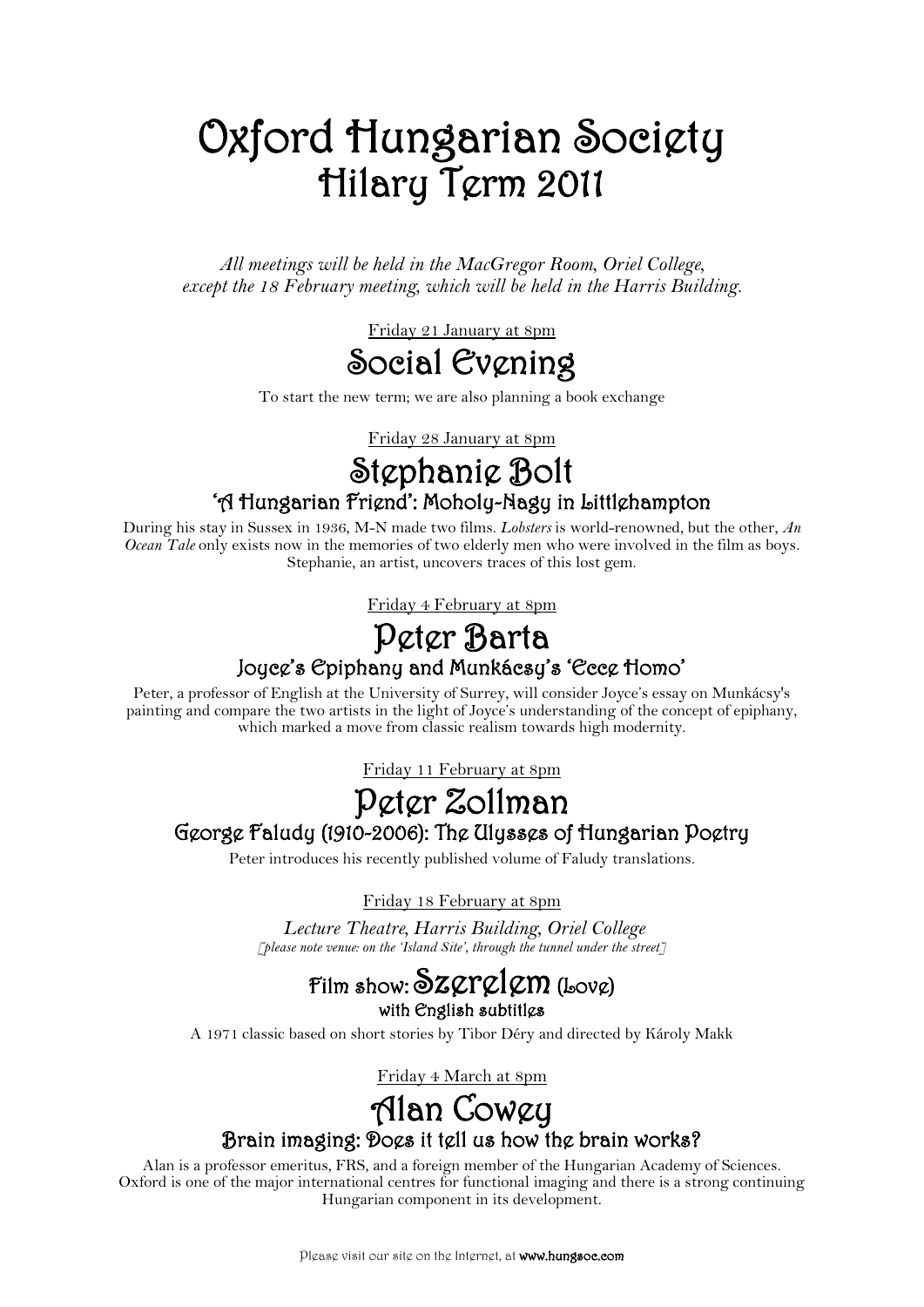# Oxford Hungarian Society Hilary Term 2011

*All meetings will be held in the MacGregor Room, Oriel College, except the 18 February meeting, which will be held in the Harris Building.*

Friday 21 January at 8pm



To start the new term; we are also planning a book exchange

Friday 28 January at 8pm

# Stephanie Bolt 'A Hungarian Friend': Moholy-Nagy in Littlehampton

During his stay in Sussex in 1936, M-N made two films. *Lobsters* is world-renowned, but the other, *An Ocean Tale* only exists now in the memories of two elderly men who were involved in the film as boys. Stephanie, an artist, uncovers traces of this lost gem.

Friday 4 February at 8pm

# Peter Barta Joyce's Epiphany and Munkácsy's 'Ecce Homo'

Peter, a professor of English at the University of Surrey, will consider Joyce's essay on Munkácsy's painting and compare the two artists in the light of Joyce's understanding of the concept of epiphany, which marked a move from classic realism towards high modernity.

Friday 11 February at 8pm

### Peter Zollman George Faludy (1910-2006): The Ulysses of Hungarian Poetry

Peter introduces his recently published volume of Faludy translations.

Friday 18 February at 8pm

*Lecture Theatre, Harris Building, Oriel College [please note venue: on the 'Island Site', through the tunnel under the street]*

#### Film show:  $\delta$ z $\varphi$ r $\varphi$ l $\varphi$ m (Lov $\varphi$ ) with English subtitles

A 1971 classic based on short stories by Tibor Déry and directed by Károly Makk

Friday 4 March at 8pm

# Alan Cowey Brain imaging: Does it tell us how the brain works?

Alan is a professor emeritus, FRS, and a foreign member of the Hungarian Academy of Sciences. Oxford is one of the major international centres for functional imaging and there is a strong continuing Hungarian component in its development.